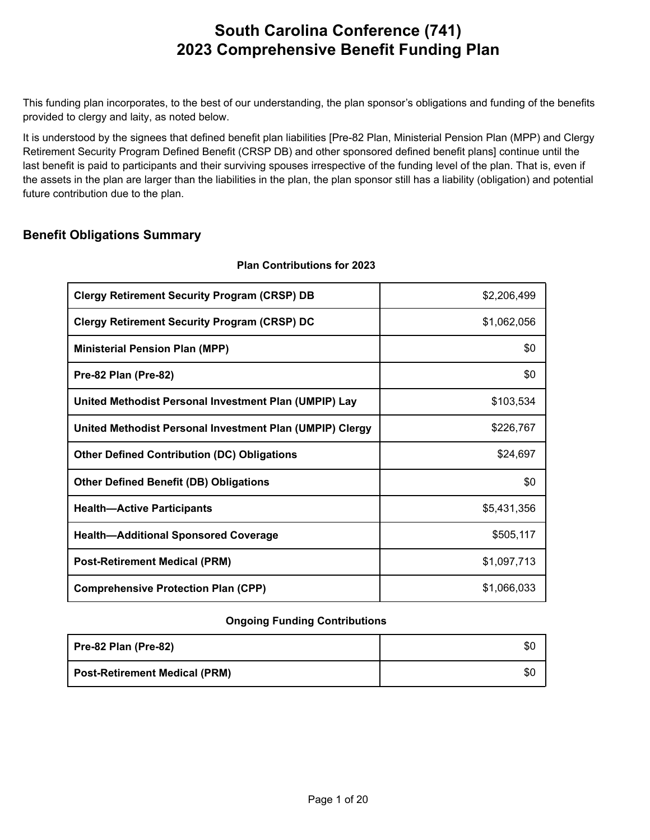This funding plan incorporates, to the best of our understanding, the plan sponsor's obligations and funding of the benefits provided to clergy and laity, as noted below.

It is understood by the signees that defined benefit plan liabilities [Pre-82 Plan, Ministerial Pension Plan (MPP) and Clergy Retirement Security Program Defined Benefit (CRSP DB) and other sponsored defined benefit plans] continue until the last benefit is paid to participants and their surviving spouses irrespective of the funding level of the plan. That is, even if the assets in the plan are larger than the liabilities in the plan, the plan sponsor still has a liability (obligation) and potential future contribution due to the plan.

### **Benefit Obligations Summary**

| <b>Clergy Retirement Security Program (CRSP) DB</b>      | \$2,206,499 |
|----------------------------------------------------------|-------------|
|                                                          |             |
| <b>Clergy Retirement Security Program (CRSP) DC</b>      | \$1,062,056 |
| <b>Ministerial Pension Plan (MPP)</b>                    | \$0         |
| Pre-82 Plan (Pre-82)                                     | \$0         |
| United Methodist Personal Investment Plan (UMPIP) Lay    | \$103,534   |
| United Methodist Personal Investment Plan (UMPIP) Clergy | \$226,767   |
| <b>Other Defined Contribution (DC) Obligations</b>       | \$24,697    |
| <b>Other Defined Benefit (DB) Obligations</b>            | \$0         |
| <b>Health-Active Participants</b>                        | \$5,431,356 |
| <b>Health-Additional Sponsored Coverage</b>              | \$505,117   |
| <b>Post-Retirement Medical (PRM)</b>                     | \$1,097,713 |
| <b>Comprehensive Protection Plan (CPP)</b>               | \$1,066,033 |

#### **Plan Contributions for 2023**

#### **Ongoing Funding Contributions**

| Pre-82 Plan (Pre-82)                 | \$0 |
|--------------------------------------|-----|
| <b>Post-Retirement Medical (PRM)</b> | \$0 |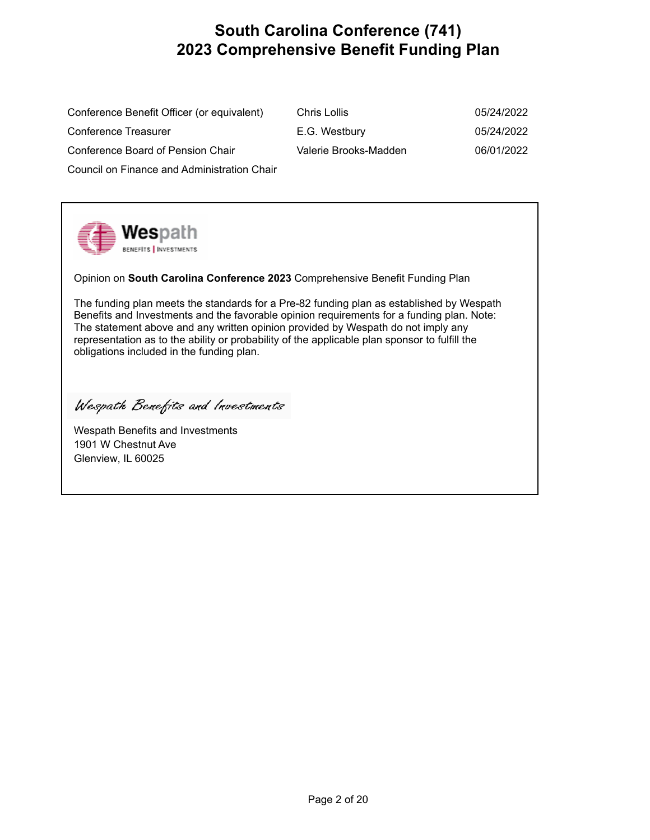Conference Benefit Officer (or equivalent) C Conference Treasurer **E.G. Westbury E.G. WestBury E.G. West** Conference Board of Pension Chair V Council on Finance and Administration Chair

| ≿hris Lollis          | 05/24/2022 |
|-----------------------|------------|
| .G. Westbury          | 05/24/2022 |
| /alerie Brooks-Madden | 06/01/2022 |

**wes**path **BENEFITS** | INVESTMENTS

Opinion on **South Carolina Conference 2023** Comprehensive Benefit Funding Plan

The funding plan meets the standards for a Pre-82 funding plan as established by Wespath Benefits and Investments and the favorable opinion requirements for a funding plan. Note: The statement above and any written opinion provided by Wespath do not imply any representation as to the ability or probability of the applicable plan sponsor to fulfill the obligations included in the funding plan.

Wespath Benefits and Investments

Wespath Benefits and Investments 1901 W Chestnut Ave Glenview, IL 60025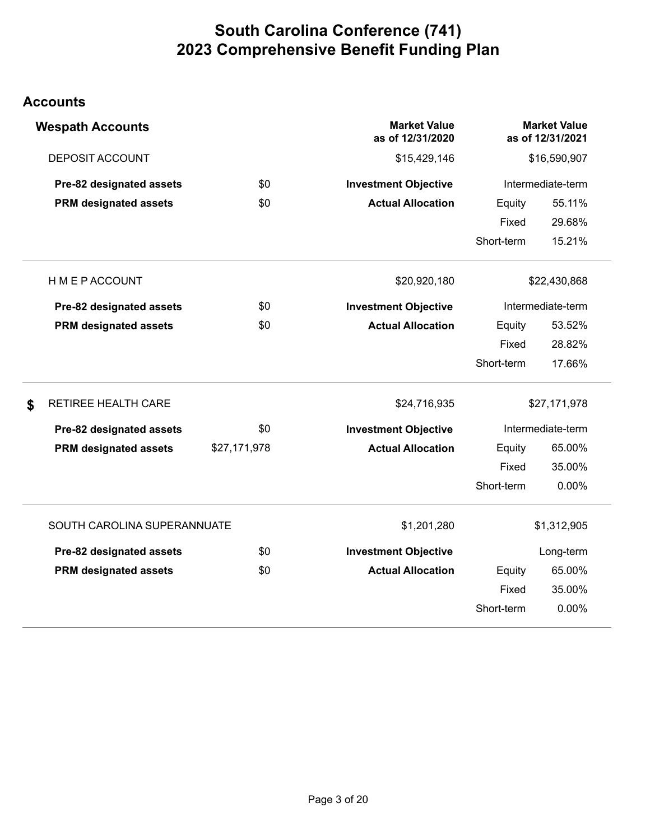### **Accounts**

| <b>Wespath Accounts</b>      |              | <b>Market Value</b><br>as of 12/31/2020 |              | <b>Market Value</b><br>as of 12/31/2021 |
|------------------------------|--------------|-----------------------------------------|--------------|-----------------------------------------|
| <b>DEPOSIT ACCOUNT</b>       |              | \$15,429,146                            | \$16,590,907 |                                         |
| Pre-82 designated assets     | \$0          | <b>Investment Objective</b>             |              | Intermediate-term                       |
| <b>PRM designated assets</b> | \$0          | <b>Actual Allocation</b>                | Equity       | 55.11%                                  |
|                              |              |                                         | Fixed        | 29.68%                                  |
|                              |              |                                         | Short-term   | 15.21%                                  |
| <b>HMEPACCOUNT</b>           |              | \$20,920,180                            |              | \$22,430,868                            |
| Pre-82 designated assets     | \$0          | <b>Investment Objective</b>             |              | Intermediate-term                       |
| <b>PRM designated assets</b> | \$0          | <b>Actual Allocation</b>                | Equity       | 53.52%                                  |
|                              |              |                                         | Fixed        | 28.82%                                  |
|                              |              |                                         | Short-term   | 17.66%                                  |
| \$<br>RETIREE HEALTH CARE    |              | \$24,716,935                            |              | \$27,171,978                            |
| Pre-82 designated assets     | \$0          | <b>Investment Objective</b>             |              | Intermediate-term                       |
| <b>PRM designated assets</b> | \$27,171,978 | <b>Actual Allocation</b>                | Equity       | 65.00%                                  |
|                              |              |                                         | Fixed        | 35.00%                                  |
|                              |              |                                         | Short-term   | 0.00%                                   |
| SOUTH CAROLINA SUPERANNUATE  |              | \$1,201,280                             |              | \$1,312,905                             |
| Pre-82 designated assets     | \$0          | <b>Investment Objective</b>             |              | Long-term                               |
| <b>PRM designated assets</b> | \$0          | <b>Actual Allocation</b>                | Equity       | 65.00%                                  |
|                              |              |                                         | Fixed        | 35.00%                                  |
|                              |              |                                         | Short-term   | 0.00%                                   |
|                              |              |                                         |              |                                         |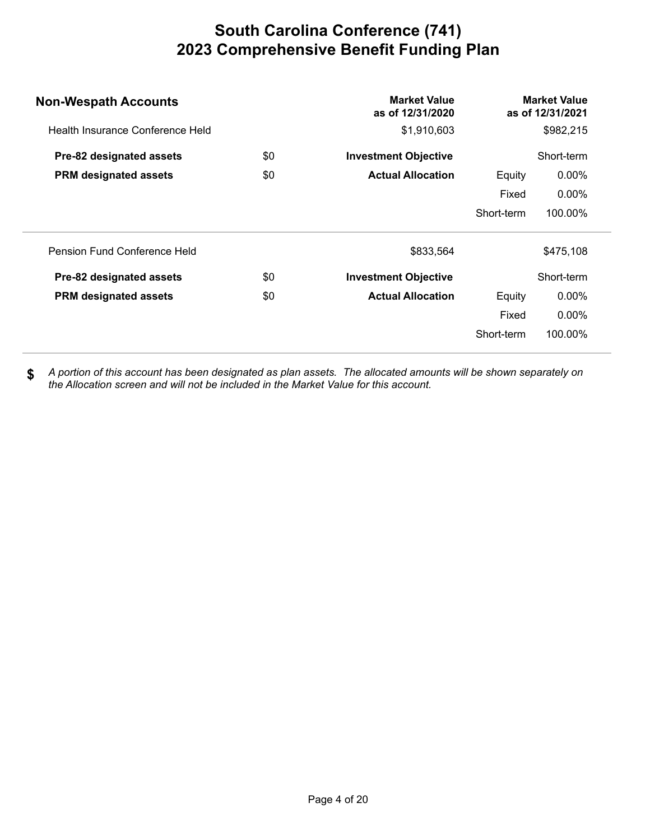| <b>Non-Wespath Accounts</b>      |     | <b>Market Value</b><br>as of 12/31/2020 |            | <b>Market Value</b><br>as of 12/31/2021 |
|----------------------------------|-----|-----------------------------------------|------------|-----------------------------------------|
| Health Insurance Conference Held |     | \$1,910,603                             |            | \$982,215                               |
| Pre-82 designated assets         | \$0 | <b>Investment Objective</b>             |            | Short-term                              |
| <b>PRM</b> designated assets     | \$0 | <b>Actual Allocation</b>                | Equity     | $0.00\%$                                |
|                                  |     |                                         | Fixed      | $0.00\%$                                |
|                                  |     |                                         | Short-term | 100.00%                                 |
| Pension Fund Conference Held     |     | \$833,564                               |            | \$475,108                               |
| Pre-82 designated assets         | \$0 | <b>Investment Objective</b>             |            | Short-term                              |
| <b>PRM designated assets</b>     | \$0 | <b>Actual Allocation</b>                | Equity     | $0.00\%$                                |
|                                  |     |                                         | Fixed      | $0.00\%$                                |
|                                  |     |                                         | Short-term | 100.00%                                 |
|                                  |     |                                         |            |                                         |

*A portion of this account has been designated as plan assets. The allocated amounts will be shown separately on the Allocation screen and will not be included in the Market Value for this account.*  **\$**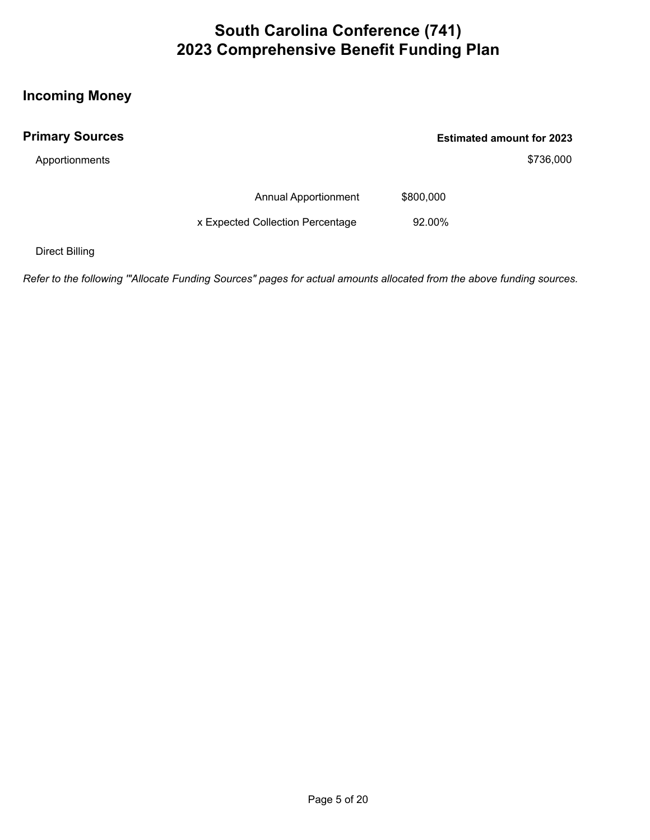### **Incoming Money**

| <b>Primary Sources</b> |                                  |           | <b>Estimated amount for 2023</b> |
|------------------------|----------------------------------|-----------|----------------------------------|
| Apportionments         |                                  |           | \$736,000                        |
|                        | <b>Annual Apportionment</b>      | \$800,000 |                                  |
|                        | x Expected Collection Percentage | 92.00%    |                                  |

Direct Billing

*Refer to the following '"Allocate Funding Sources" pages for actual amounts allocated from the above funding sources.*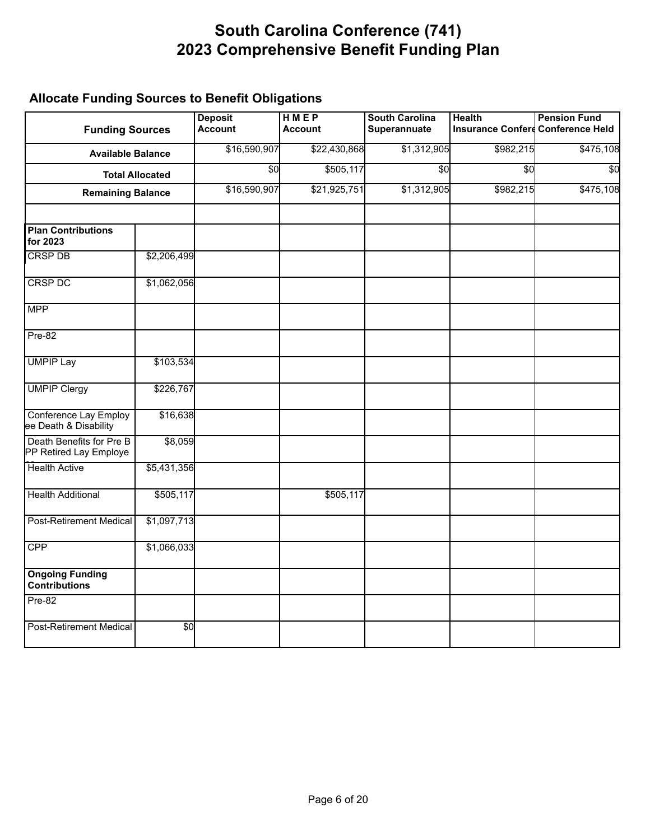### **Allocate Funding Sources to Benefit Obligations**

| <b>Funding Sources</b>                                |                        | <b>Deposit</b><br><b>Account</b> | <b>HMEP</b><br><b>Account</b> | <b>South Carolina</b><br>Superannuate | <b>Health</b>   | <b>Pension Fund</b><br>Insurance Conferd Conference Held |
|-------------------------------------------------------|------------------------|----------------------------------|-------------------------------|---------------------------------------|-----------------|----------------------------------------------------------|
| <b>Available Balance</b>                              |                        | \$16,590,907                     | \$22,430,868                  | \$1,312,905                           | \$982,215       | \$475,108                                                |
|                                                       | <b>Total Allocated</b> | \$0                              | \$505,117                     | $\frac{6}{5}$                         | $\overline{50}$ | $\overline{50}$                                          |
| <b>Remaining Balance</b>                              |                        | \$16,590,907                     | \$21,925,751                  | \$1,312,905                           | \$982,215       | \$475,108                                                |
| <b>Plan Contributions</b><br>for 2023                 |                        |                                  |                               |                                       |                 |                                                          |
| <b>CRSP DB</b>                                        | \$2,206,499            |                                  |                               |                                       |                 |                                                          |
| <b>CRSP DC</b>                                        | \$1,062,056            |                                  |                               |                                       |                 |                                                          |
| <b>MPP</b>                                            |                        |                                  |                               |                                       |                 |                                                          |
| Pre-82                                                |                        |                                  |                               |                                       |                 |                                                          |
| <b>UMPIP Lay</b>                                      | \$103,534              |                                  |                               |                                       |                 |                                                          |
| <b>UMPIP Clergy</b>                                   | \$226,767              |                                  |                               |                                       |                 |                                                          |
| <b>Conference Lay Employ</b><br>ee Death & Disability | \$16,638               |                                  |                               |                                       |                 |                                                          |
| Death Benefits for Pre B<br>PP Retired Lay Employe    | \$8,059                |                                  |                               |                                       |                 |                                                          |
| <b>Health Active</b>                                  | \$5,431,356            |                                  |                               |                                       |                 |                                                          |
| <b>Health Additional</b>                              | \$505,117              |                                  | \$505,117                     |                                       |                 |                                                          |
| <b>Post-Retirement Medical</b>                        | \$1,097,713            |                                  |                               |                                       |                 |                                                          |
| CPP                                                   | \$1,066,033            |                                  |                               |                                       |                 |                                                          |
| <b>Ongoing Funding</b><br><b>Contributions</b>        |                        |                                  |                               |                                       |                 |                                                          |
| $Pre-82$                                              |                        |                                  |                               |                                       |                 |                                                          |
| <b>Post-Retirement Medical</b>                        | $\frac{6}{3}$          |                                  |                               |                                       |                 |                                                          |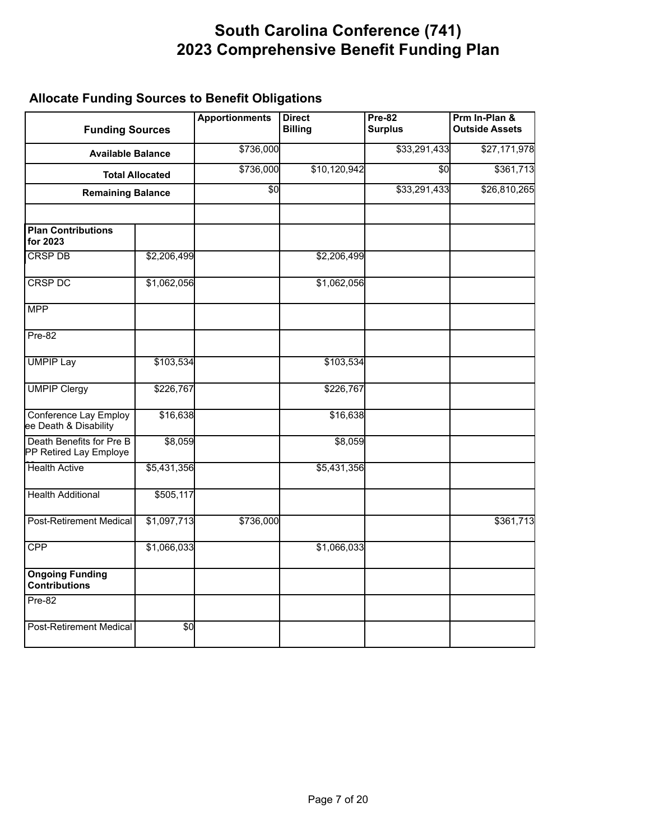### **Allocate Funding Sources to Benefit Obligations**

| <b>Funding Sources</b>                                |                        | <b>Apportionments</b> | <b>Direct</b><br><b>Billing</b> | $Pre-82$<br><b>Surplus</b> | Prm In-Plan &<br><b>Outside Assets</b> |
|-------------------------------------------------------|------------------------|-----------------------|---------------------------------|----------------------------|----------------------------------------|
| <b>Available Balance</b>                              |                        | \$736,000             |                                 | \$33,291,433               | \$27,171,978                           |
|                                                       | <b>Total Allocated</b> | \$736,000             | \$10,120,942                    | \$0                        | \$361,713                              |
| <b>Remaining Balance</b>                              |                        | \$0                   |                                 | \$33,291,433               | \$26,810,265                           |
| <b>Plan Contributions</b><br>for 2023                 |                        |                       |                                 |                            |                                        |
| <b>CRSP DB</b>                                        | \$2,206,499            |                       | \$2,206,499                     |                            |                                        |
| <b>CRSP DC</b>                                        | \$1,062,056            |                       | \$1,062,056                     |                            |                                        |
| <b>MPP</b>                                            |                        |                       |                                 |                            |                                        |
| $Pre-82$                                              |                        |                       |                                 |                            |                                        |
| <b>UMPIP Lay</b>                                      | \$103,534              |                       | \$103,534                       |                            |                                        |
| <b>UMPIP Clergy</b>                                   | \$226,767              |                       | \$226,767                       |                            |                                        |
| <b>Conference Lay Employ</b><br>ee Death & Disability | \$16,638               |                       | \$16,638                        |                            |                                        |
| Death Benefits for Pre B<br>PP Retired Lay Employe    | \$8,059                |                       | \$8,059                         |                            |                                        |
| <b>Health Active</b>                                  | \$5,431,356            |                       | \$5,431,356                     |                            |                                        |
| <b>Health Additional</b>                              | \$505,117              |                       |                                 |                            |                                        |
| <b>Post-Retirement Medical</b>                        | \$1,097,713            | \$736,000             |                                 |                            | \$361,713                              |
| <b>CPP</b>                                            | \$1,066,033            |                       | \$1,066,033                     |                            |                                        |
| <b>Ongoing Funding</b><br>Contributions               |                        |                       |                                 |                            |                                        |
| $Pre-82$                                              |                        |                       |                                 |                            |                                        |
| <b>Post-Retirement Medical</b>                        | \$0                    |                       |                                 |                            |                                        |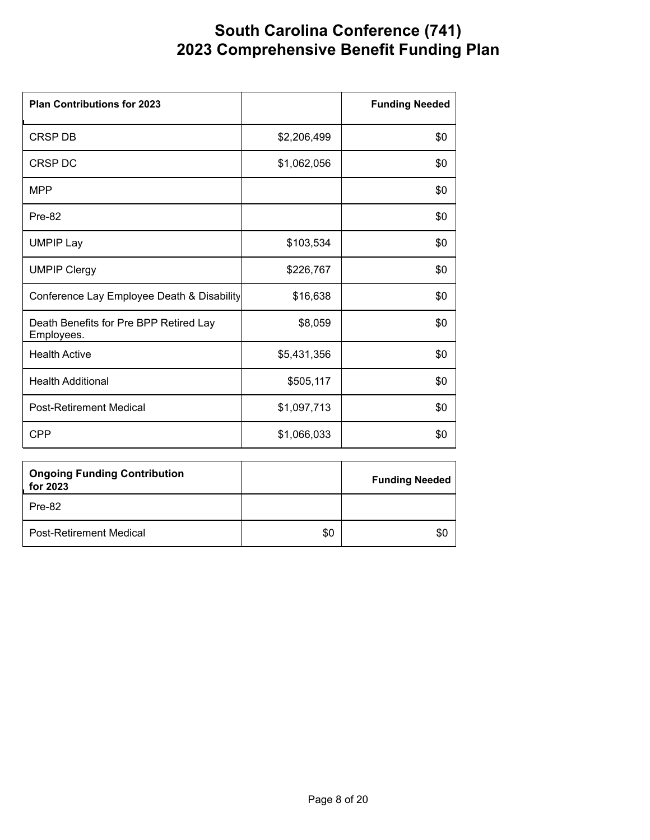| <b>Plan Contributions for 2023</b>                   |             | <b>Funding Needed</b> |
|------------------------------------------------------|-------------|-----------------------|
| CRSP DB                                              | \$2,206,499 | \$0                   |
| CRSP DC                                              | \$1,062,056 | \$0                   |
| <b>MPP</b>                                           |             | \$0                   |
| Pre-82                                               |             | \$0                   |
| <b>UMPIP Lay</b>                                     | \$103,534   | \$0                   |
| <b>UMPIP Clergy</b>                                  | \$226,767   | \$0                   |
| Conference Lay Employee Death & Disability           | \$16,638    | \$0                   |
| Death Benefits for Pre BPP Retired Lay<br>Employees. | \$8,059     | \$0                   |
| <b>Health Active</b>                                 | \$5,431,356 | \$0                   |
| <b>Health Additional</b>                             | \$505,117   | \$0                   |
| <b>Post-Retirement Medical</b>                       | \$1,097,713 | \$0                   |
| <b>CPP</b>                                           | \$1,066,033 | \$0                   |

| <b>Ongoing Funding Contribution</b><br>for 2023 |     | <b>Funding Needed</b> |
|-------------------------------------------------|-----|-----------------------|
| Pre-82                                          |     |                       |
| <b>Post-Retirement Medical</b>                  | \$0 | \$0                   |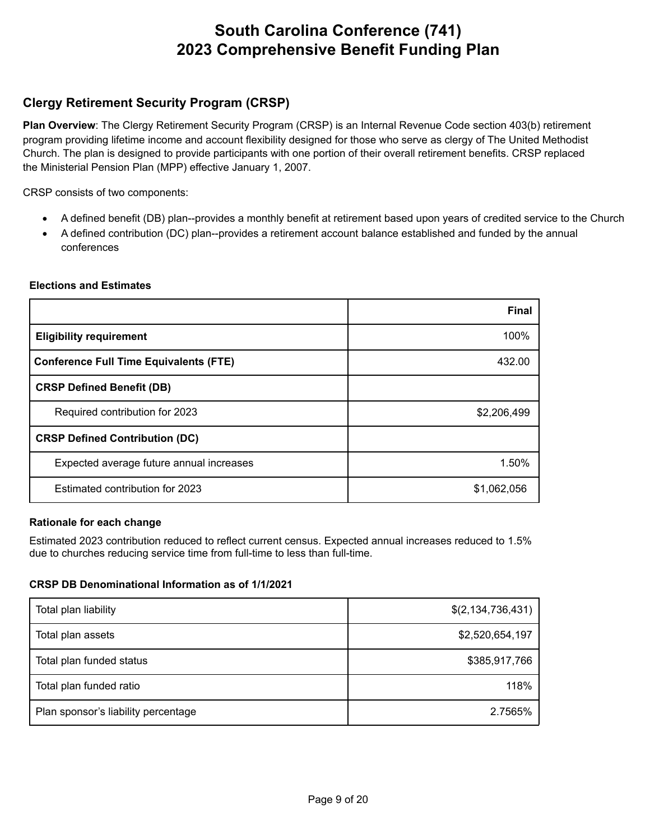### **Clergy Retirement Security Program (CRSP)**

**Plan Overview**: The Clergy Retirement Security Program (CRSP) is an Internal Revenue Code section 403(b) retirement program providing lifetime income and account flexibility designed for those who serve as clergy of The United Methodist Church. The plan is designed to provide participants with one portion of their overall retirement benefits. CRSP replaced the Ministerial Pension Plan (MPP) effective January 1, 2007.

CRSP consists of two components:

- · A defined benefit (DB) plan--provides a monthly benefit at retirement based upon years of credited service to the Church
- · A defined contribution (DC) plan--provides a retirement account balance established and funded by the annual conferences

|                                               | <b>Final</b> |
|-----------------------------------------------|--------------|
| <b>Eligibility requirement</b>                | 100%         |
| <b>Conference Full Time Equivalents (FTE)</b> | 432.00       |
| <b>CRSP Defined Benefit (DB)</b>              |              |
| Required contribution for 2023                | \$2,206,499  |
| <b>CRSP Defined Contribution (DC)</b>         |              |
| Expected average future annual increases      | 1.50%        |
| Estimated contribution for 2023               | \$1,062,056  |

#### **Elections and Estimates**

#### **Rationale for each change**

Estimated 2023 contribution reduced to reflect current census. Expected annual increases reduced to 1.5% due to churches reducing service time from full-time to less than full-time.

#### **CRSP DB Denominational Information as of 1/1/2021**

| Total plan liability                | \$(2, 134, 736, 431) |
|-------------------------------------|----------------------|
| Total plan assets                   | \$2,520,654,197      |
| Total plan funded status            | \$385,917,766        |
| Total plan funded ratio             | 118%                 |
| Plan sponsor's liability percentage | 2.7565%              |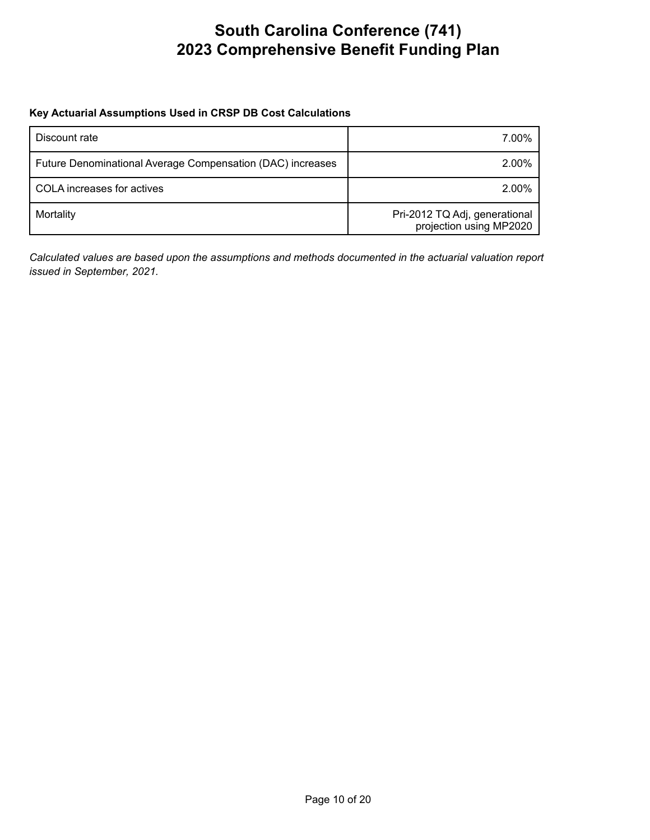#### **Key Actuarial Assumptions Used in CRSP DB Cost Calculations**

| Discount rate                                              | 7.00%                                                    |
|------------------------------------------------------------|----------------------------------------------------------|
| Future Denominational Average Compensation (DAC) increases | 2.00%                                                    |
| COLA increases for actives                                 | 2.00%                                                    |
| Mortality                                                  | Pri-2012 TQ Adj, generational<br>projection using MP2020 |

*Calculated values are based upon the assumptions and methods documented in the actuarial valuation report issued in September, 2021.*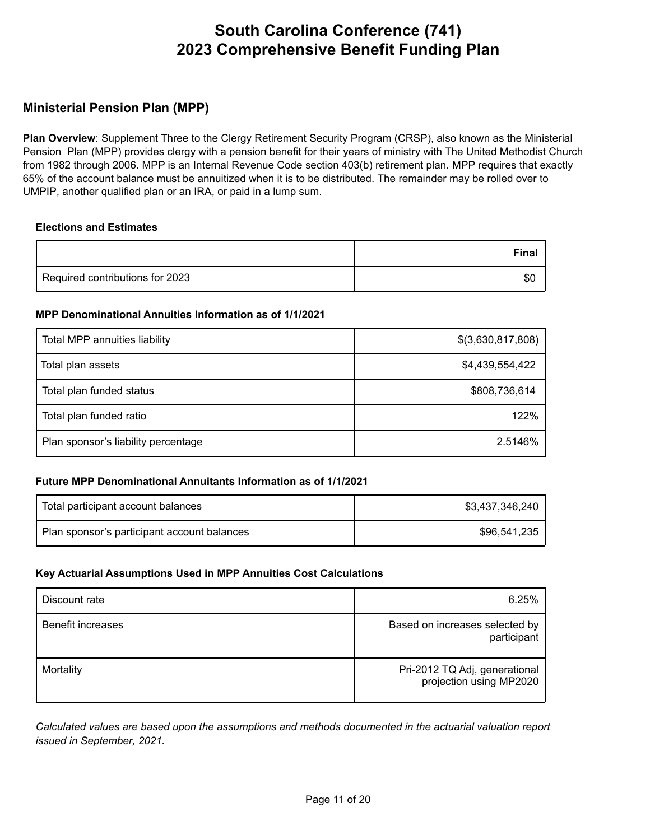### **Ministerial Pension Plan (MPP)**

**Plan Overview**: Supplement Three to the Clergy Retirement Security Program (CRSP), also known as the Ministerial Pension Plan (MPP) provides clergy with a pension benefit for their years of ministry with The United Methodist Church from 1982 through 2006. MPP is an Internal Revenue Code section 403(b) retirement plan. MPP requires that exactly 65% of the account balance must be annuitized when it is to be distributed. The remainder may be rolled over to UMPIP, another qualified plan or an IRA, or paid in a lump sum.

#### **Elections and Estimates**

|                                 | Final |
|---------------------------------|-------|
| Required contributions for 2023 | -SO   |

#### **MPP Denominational Annuities Information as of 1/1/2021**

| Total MPP annuities liability       | \$(3,630,817,808) |
|-------------------------------------|-------------------|
| Total plan assets                   | \$4,439,554,422   |
| Total plan funded status            | \$808,736,614     |
| Total plan funded ratio             | 122%              |
| Plan sponsor's liability percentage | 2.5146%           |

#### **Future MPP Denominational Annuitants Information as of 1/1/2021**

| $\,$ Total participant account balances $\,$ | \$3,437,346,240 |
|----------------------------------------------|-----------------|
| Plan sponsor's participant account balances  | \$96,541,235    |

#### **Key Actuarial Assumptions Used in MPP Annuities Cost Calculations**

| Discount rate            | 6.25%                                                    |
|--------------------------|----------------------------------------------------------|
| <b>Benefit increases</b> | Based on increases selected by<br>participant            |
| Mortality                | Pri-2012 TQ Adj, generational<br>projection using MP2020 |

*Calculated values are based upon the assumptions and methods documented in the actuarial valuation report issued in September, 2021.*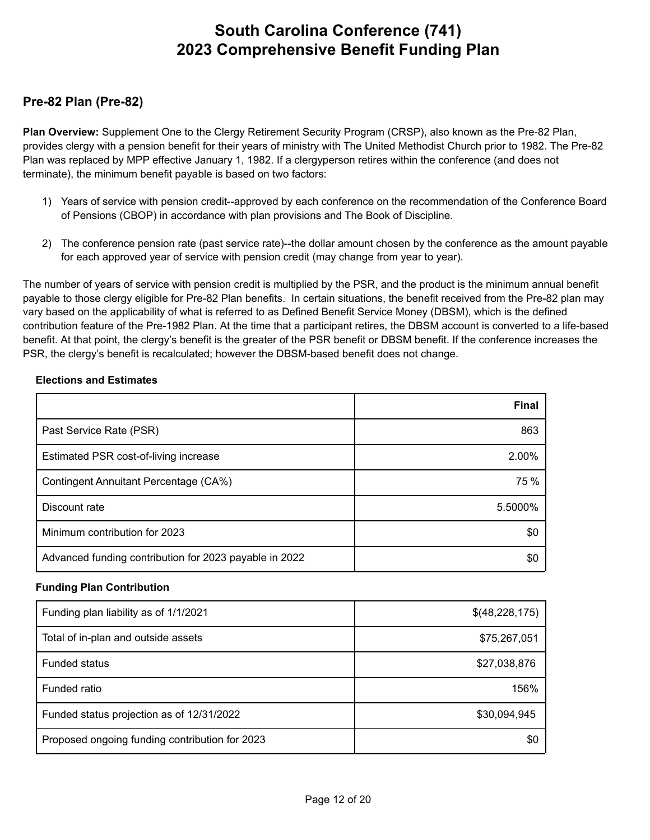### **Pre-82 Plan (Pre-82)**

**Plan Overview:** Supplement One to the Clergy Retirement Security Program (CRSP), also known as the Pre-82 Plan, provides clergy with a pension benefit for their years of ministry with The United Methodist Church prior to 1982. The Pre-82 Plan was replaced by MPP effective January 1, 1982. If a clergyperson retires within the conference (and does not terminate), the minimum benefit payable is based on two factors:

- 1) Years of service with pension credit--approved by each conference on the recommendation of the Conference Board of Pensions (CBOP) in accordance with plan provisions and The Book of Discipline.
- 2) The conference pension rate (past service rate)--the dollar amount chosen by the conference as the amount payable for each approved year of service with pension credit (may change from year to year).

The number of years of service with pension credit is multiplied by the PSR, and the product is the minimum annual benefit payable to those clergy eligible for Pre-82 Plan benefits. In certain situations, the benefit received from the Pre-82 plan may vary based on the applicability of what is referred to as Defined Benefit Service Money (DBSM), which is the defined contribution feature of the Pre-1982 Plan. At the time that a participant retires, the DBSM account is converted to a life-based benefit. At that point, the clergy's benefit is the greater of the PSR benefit or DBSM benefit. If the conference increases the PSR, the clergy's benefit is recalculated; however the DBSM-based benefit does not change.

|                                                        | <b>Final</b> |
|--------------------------------------------------------|--------------|
| Past Service Rate (PSR)                                | 863          |
| Estimated PSR cost-of-living increase                  | 2.00%        |
| <b>Contingent Annuitant Percentage (CA%)</b>           | 75 %         |
| Discount rate                                          | 5.5000%      |
| Minimum contribution for 2023                          | \$0          |
| Advanced funding contribution for 2023 payable in 2022 | \$0          |

#### **Elections and Estimates**

#### **Funding Plan Contribution**

| Funding plan liability as of 1/1/2021          | \$(48,228,175) |
|------------------------------------------------|----------------|
| Total of in-plan and outside assets            | \$75,267,051   |
| <b>Funded status</b>                           | \$27,038,876   |
| Funded ratio                                   | 156%           |
| Funded status projection as of 12/31/2022      | \$30,094,945   |
| Proposed ongoing funding contribution for 2023 | \$C            |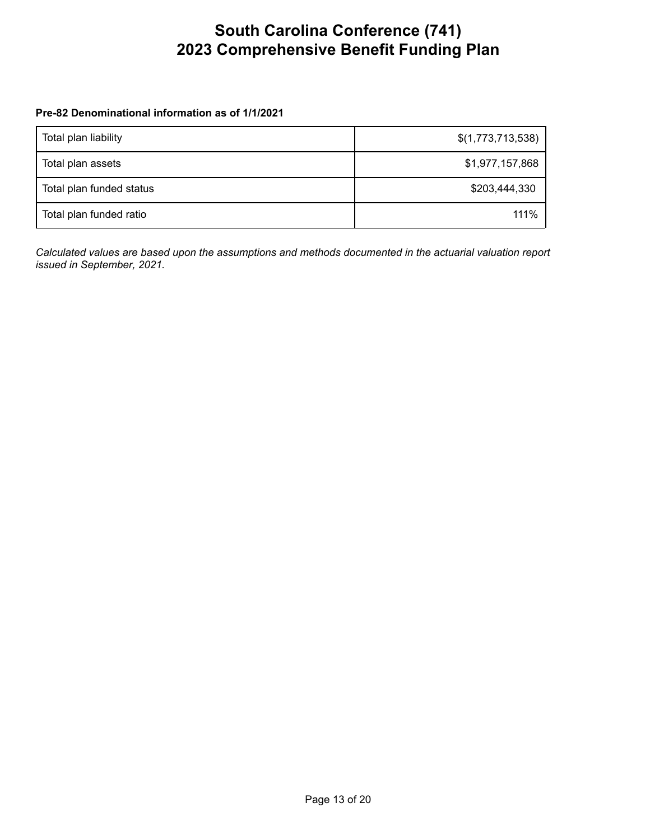#### **Pre-82 Denominational information as of 1/1/2021**

| Total plan liability     | \$(1,773,713,538) |
|--------------------------|-------------------|
| Total plan assets        | \$1,977,157,868   |
| Total plan funded status | \$203,444,330     |
| Total plan funded ratio  | 111%              |

*Calculated values are based upon the assumptions and methods documented in the actuarial valuation report issued in September, 2021.*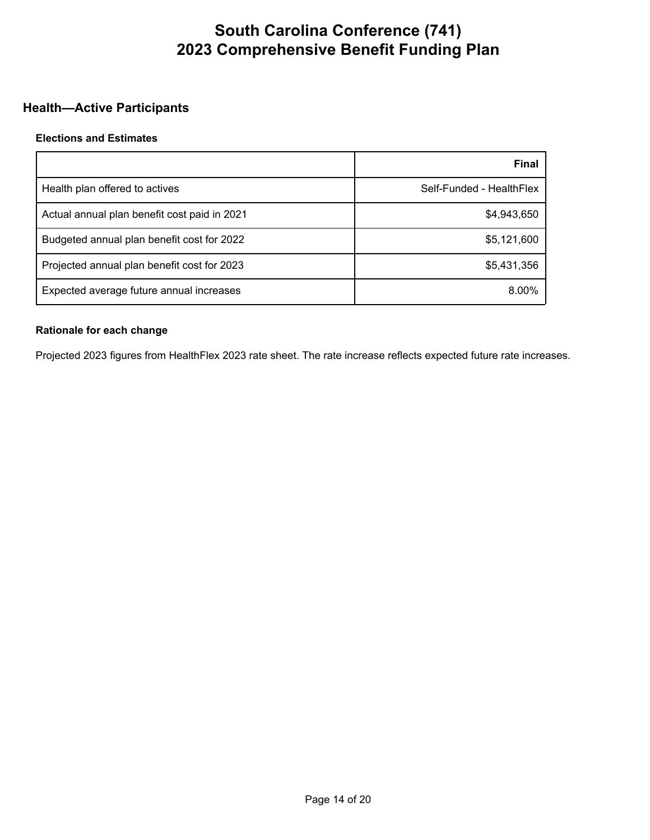### **Health—Active Participants**

#### **Elections and Estimates**

|                                              | Final                    |
|----------------------------------------------|--------------------------|
| Health plan offered to actives               | Self-Funded - HealthFlex |
| Actual annual plan benefit cost paid in 2021 | \$4,943,650              |
| Budgeted annual plan benefit cost for 2022   | \$5,121,600              |
| Projected annual plan benefit cost for 2023  | \$5,431,356              |
| Expected average future annual increases     | 8.00%                    |

#### **Rationale for each change**

Projected 2023 figures from HealthFlex 2023 rate sheet. The rate increase reflects expected future rate increases.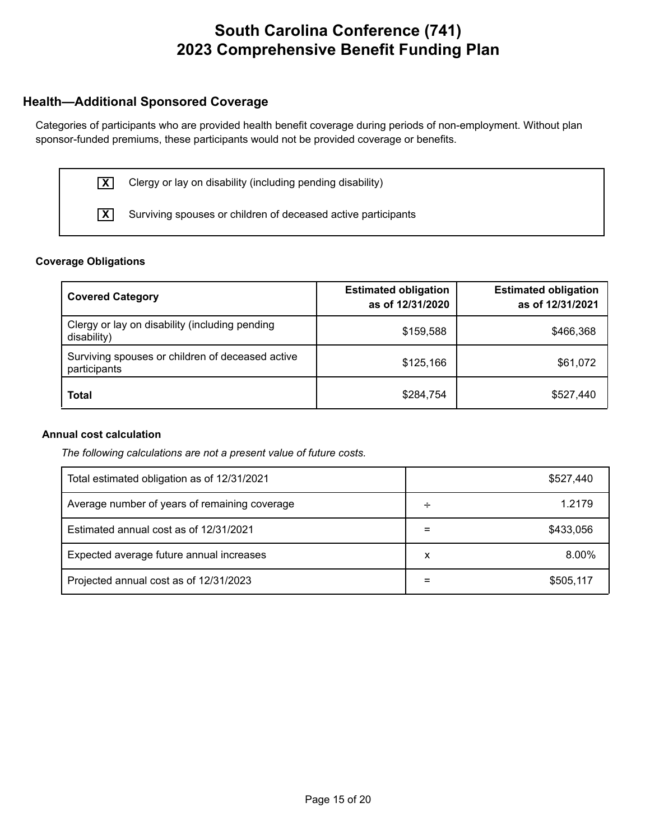### **Health—Additional Sponsored Coverage**

Categories of participants who are provided health benefit coverage during periods of non-employment. Without plan sponsor-funded premiums, these participants would not be provided coverage or benefits.



**X** Clergy or lay on disability (including pending disability)

**X** Surviving spouses or children of deceased active participants

#### **Coverage Obligations**

| <b>Covered Category</b>                                          | <b>Estimated obligation</b><br>as of 12/31/2020 | <b>Estimated obligation</b><br>as of 12/31/2021 |
|------------------------------------------------------------------|-------------------------------------------------|-------------------------------------------------|
| Clergy or lay on disability (including pending<br>disability)    | \$159,588                                       | \$466,368                                       |
| Surviving spouses or children of deceased active<br>participants | \$125,166                                       | \$61,072                                        |
| <b>Total</b>                                                     | \$284,754                                       | \$527,440                                       |

#### **Annual cost calculation**

*The following calculations are not a present value of future costs.*

| Total estimated obligation as of 12/31/2021   |   | \$527,440 |
|-----------------------------------------------|---|-----------|
| Average number of years of remaining coverage | ÷ | 1.2179    |
| Estimated annual cost as of 12/31/2021        |   | \$433,056 |
| Expected average future annual increases      | х | 8.00%     |
| Projected annual cost as of 12/31/2023        |   | \$505.117 |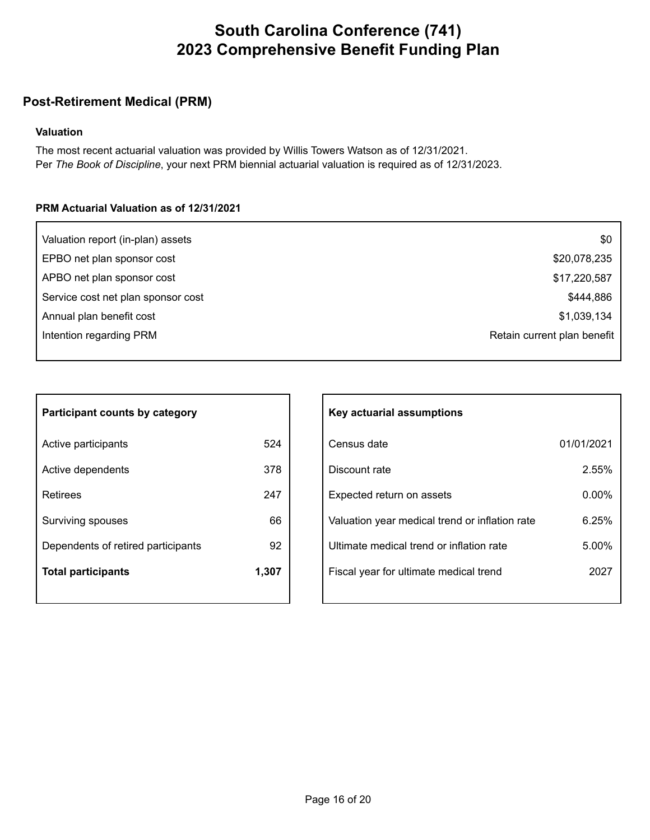### **Post-Retirement Medical (PRM)**

#### **Valuation**

The most recent actuarial valuation was provided by Willis Towers Watson as of 12/31/2021. Per *The Book of Discipline*, your next PRM biennial actuarial valuation is required as of 12/31/2023.

#### **PRM Actuarial Valuation as of 12/31/2021**

| Valuation report (in-plan) assets  | \$0                         |
|------------------------------------|-----------------------------|
| EPBO net plan sponsor cost         | \$20,078,235                |
| APBO net plan sponsor cost         | \$17,220,587                |
| Service cost net plan sponsor cost | \$444,886                   |
| Annual plan benefit cost           | \$1,039,134                 |
| Intention regarding PRM            | Retain current plan benefit |
|                                    |                             |

| <b>Participant counts by category</b> |       |  |
|---------------------------------------|-------|--|
| Active participants                   | 524   |  |
| Active dependents                     | 378   |  |
| Retirees                              | 247   |  |
| Surviving spouses                     | 66    |  |
| Dependents of retired participants    | 92    |  |
| <b>Total participants</b>             | 1,307 |  |

| Key actuarial assumptions                      |            |  |
|------------------------------------------------|------------|--|
| Census date                                    | 01/01/2021 |  |
| Discount rate                                  | 2.55%      |  |
| Expected return on assets                      | $0.00\%$   |  |
| Valuation year medical trend or inflation rate | 6.25%      |  |
| Ultimate medical trend or inflation rate       | 5.00%      |  |
| Fiscal year for ultimate medical trend         | 2027       |  |
|                                                |            |  |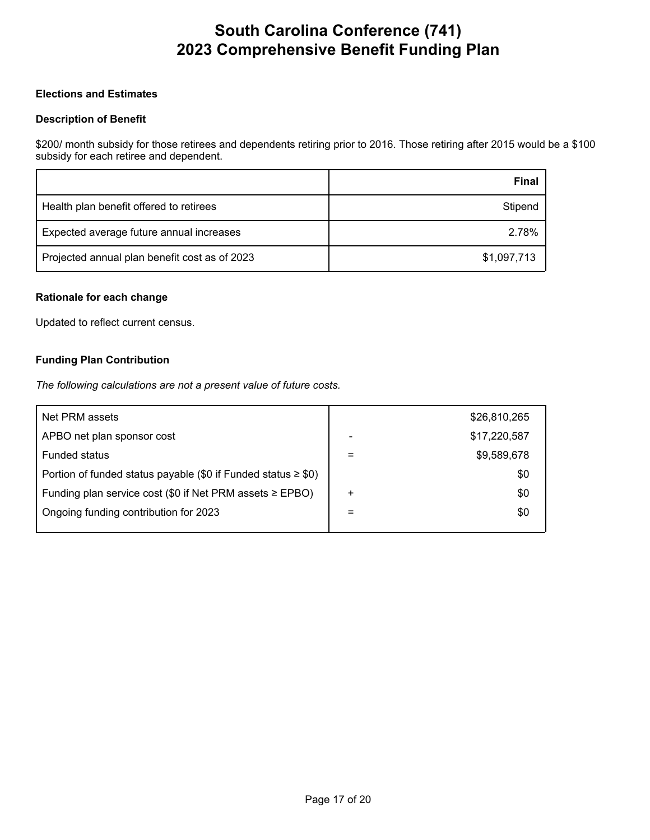#### **Elections and Estimates**

#### **Description of Benefit**

\$200/ month subsidy for those retirees and dependents retiring prior to 2016. Those retiring after 2015 would be a \$100 subsidy for each retiree and dependent.

|                                               | Final       |
|-----------------------------------------------|-------------|
| Health plan benefit offered to retirees       | Stipend     |
| Expected average future annual increases      | 2.78%       |
| Projected annual plan benefit cost as of 2023 | \$1,097,713 |

#### **Rationale for each change**

Updated to reflect current census.

#### **Funding Plan Contribution**

*The following calculations are not a present value of future costs.*

| Net PRM assets                                                     |           | \$26,810,265 |
|--------------------------------------------------------------------|-----------|--------------|
| APBO net plan sponsor cost                                         | -         | \$17,220,587 |
| <b>Funded status</b>                                               | $=$       | \$9,589,678  |
| Portion of funded status payable (\$0 if Funded status $\geq$ \$0) |           | \$0          |
| Funding plan service cost (\$0 if Net PRM assets $\geq$ EPBO)      | $\ddot{}$ | \$0          |
| Ongoing funding contribution for 2023                              | $=$       | \$0          |
|                                                                    |           |              |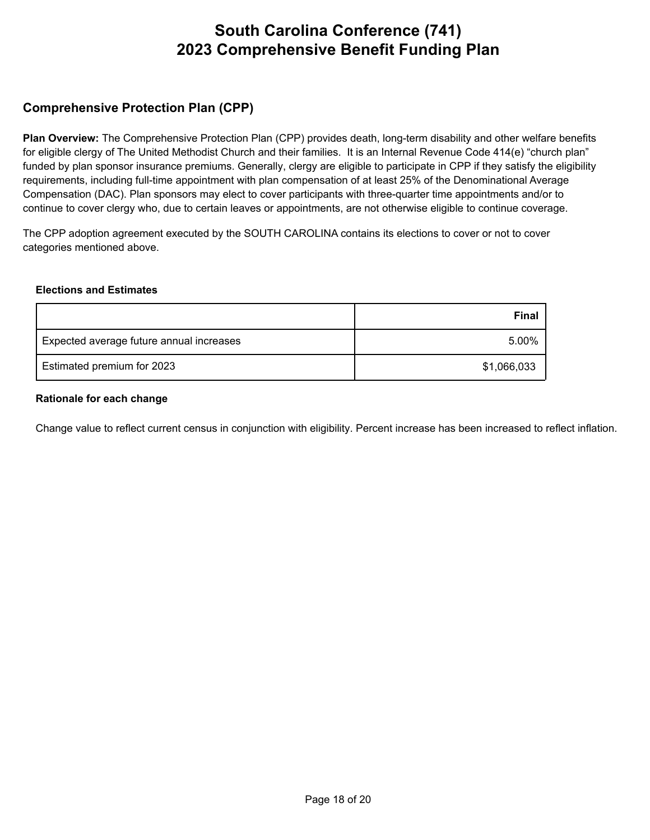### **Comprehensive Protection Plan (CPP)**

**Plan Overview:** The Comprehensive Protection Plan (CPP) provides death, long-term disability and other welfare benefits for eligible clergy of The United Methodist Church and their families. It is an Internal Revenue Code 414(e) "church plan" funded by plan sponsor insurance premiums. Generally, clergy are eligible to participate in CPP if they satisfy the eligibility requirements, including full-time appointment with plan compensation of at least 25% of the Denominational Average Compensation (DAC). Plan sponsors may elect to cover participants with three-quarter time appointments and/or to continue to cover clergy who, due to certain leaves or appointments, are not otherwise eligible to continue coverage.

The CPP adoption agreement executed by the SOUTH CAROLINA contains its elections to cover or not to cover categories mentioned above.

#### **Elections and Estimates**

|                                          | <b>Final</b> |
|------------------------------------------|--------------|
| Expected average future annual increases | 5.00%        |
| Estimated premium for 2023               | \$1,066,033  |

#### **Rationale for each change**

Change value to reflect current census in conjunction with eligibility. Percent increase has been increased to reflect inflation.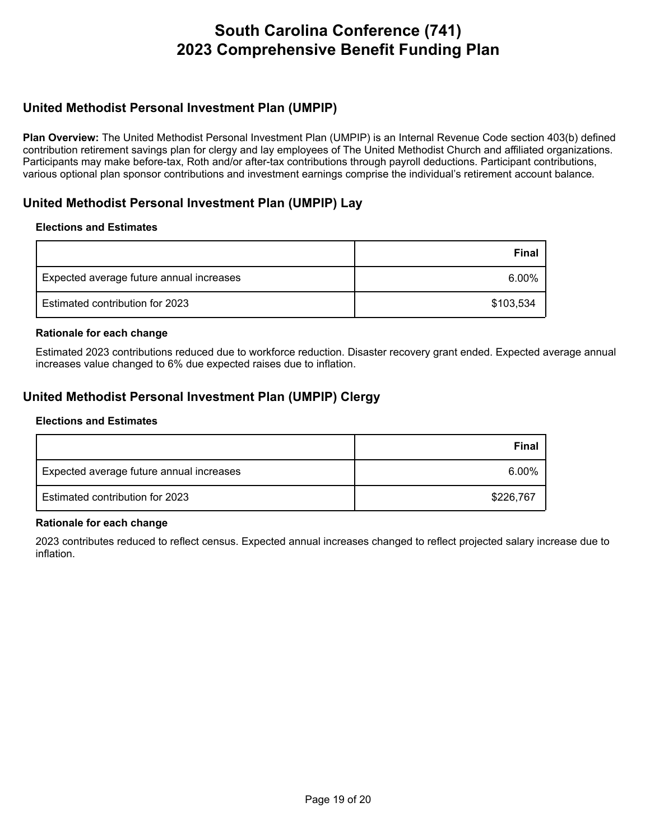### **United Methodist Personal Investment Plan (UMPIP)**

**Plan Overview:** The United Methodist Personal Investment Plan (UMPIP) is an Internal Revenue Code section 403(b) defined contribution retirement savings plan for clergy and lay employees of The United Methodist Church and affiliated organizations. Participants may make before-tax, Roth and/or after-tax contributions through payroll deductions. Participant contributions, various optional plan sponsor contributions and investment earnings comprise the individual's retirement account balance.

### **United Methodist Personal Investment Plan (UMPIP) Lay**

#### **Elections and Estimates**

|                                          | <b>Final</b> |
|------------------------------------------|--------------|
| Expected average future annual increases | 6.00%        |
| Estimated contribution for 2023          | \$103,534    |

#### **Rationale for each change**

Estimated 2023 contributions reduced due to workforce reduction. Disaster recovery grant ended. Expected average annual increases value changed to 6% due expected raises due to inflation.

### **United Methodist Personal Investment Plan (UMPIP) Clergy**

#### **Elections and Estimates**

|                                          | Final     |
|------------------------------------------|-----------|
| Expected average future annual increases | $6.00\%$  |
| Estimated contribution for 2023          | \$226,767 |

#### **Rationale for each change**

2023 contributes reduced to reflect census. Expected annual increases changed to reflect projected salary increase due to inflation.